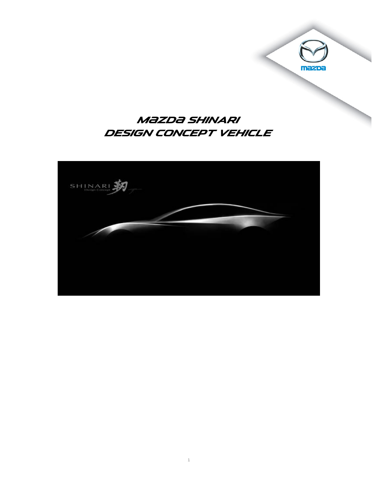## **Mazda SHINARI DESIGN CONCEPT VEHICLE**

mazpa

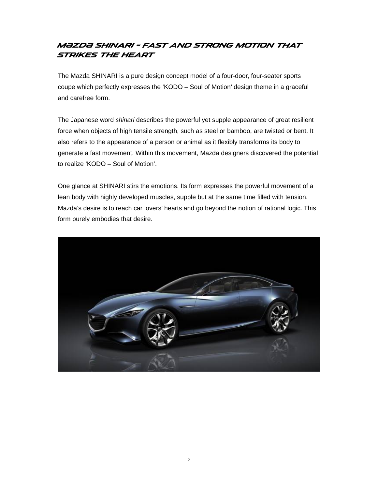#### **M{zd{ SHINARI – Fast and strong motion that strikes the heart**

The Mazda SHINARI is a pure design concept model of a four-door, four-seater sports coupe which perfectly expresses the 'KODO – Soul of Motion' design theme in a graceful and carefree form.

The Japanese word *shinari* describes the powerful yet supple appearance of great resilient force when objects of high tensile strength, such as steel or bamboo, are twisted or bent. It also refers to the appearance of a person or animal as it flexibly transforms its body to generate a fast movement. Within this movement, Mazda designers discovered the potential to realize 'KODO – Soul of Motion'.

One glance at SHINARI stirs the emotions. Its form expresses the powerful movement of a lean body with highly developed muscles, supple but at the same time filled with tension. Mazda's desire is to reach car lovers' hearts and go beyond the notion of rational logic. This form purely embodies that desire.

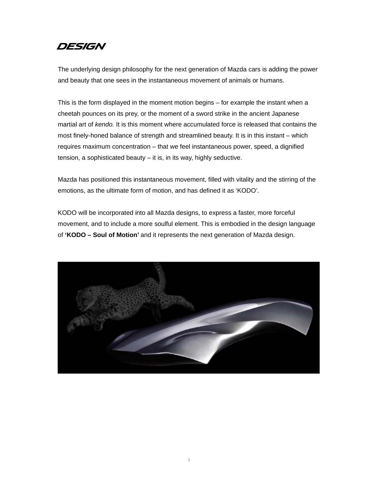#### **DESIGN**

The underlying design philosophy for the next generation of Mazda cars is adding the power and beauty that one sees in the instantaneous movement of animals or humans.

This is the form displayed in the moment motion begins – for example the instant when a cheetah pounces on its prey, or the moment of a sword strike in the ancient Japanese martial art of *kendo.* It is this moment where accumulated force is released that contains the most finely-honed balance of strength and streamlined beauty. It is in this instant – which requires maximum concentration – that we feel instantaneous power, speed, a dignified tension, a sophisticated beauty – it is, in its way, highly seductive.

Mazda has positioned this instantaneous movement, filled with vitality and the stirring of the emotions, as the ultimate form of motion, and has defined it as 'KODO'.

KODO will be incorporated into all Mazda designs, to express a faster, more forceful movement, and to include a more soulful element. This is embodied in the design language of **'KODO – Soul of Motion'** and it represents the next generation of Mazda design.

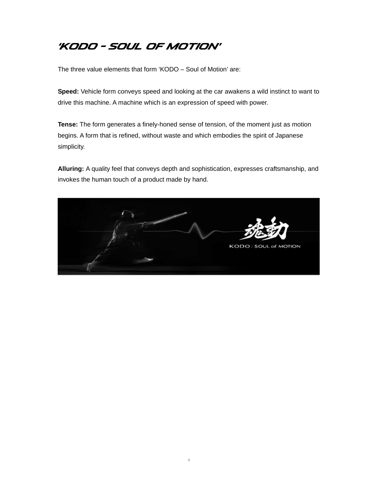# **'KODO – SOUL OF MOTION'**

The three value elements that form 'KODO – Soul of Motion' are:

**Speed:** Vehicle form conveys speed and looking at the car awakens a wild instinct to want to drive this machine. A machine which is an expression of speed with power.

**Tense:** The form generates a finely-honed sense of tension, of the moment just as motion begins. A form that is refined, without waste and which embodies the spirit of Japanese simplicity.

**Alluring:** A quality feel that conveys depth and sophistication, expresses craftsmanship, and invokes the human touch of a product made by hand.

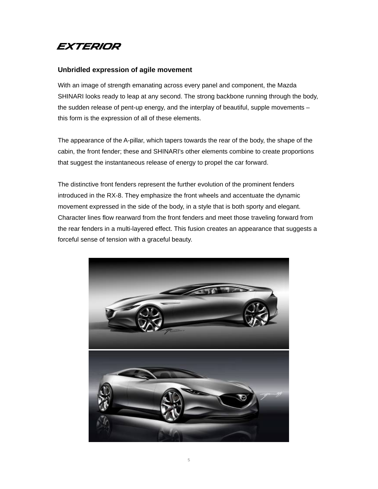

#### **Unbridled expression of agile movement**

With an image of strength emanating across every panel and component, the Mazda SHINARI looks ready to leap at any second. The strong backbone running through the body, the sudden release of pent-up energy, and the interplay of beautiful, supple movements – this form is the expression of all of these elements.

The appearance of the A-pillar, which tapers towards the rear of the body, the shape of the cabin, the front fender; these and SHINARI's other elements combine to create proportions that suggest the instantaneous release of energy to propel the car forward.

The distinctive front fenders represent the further evolution of the prominent fenders introduced in the RX-8. They emphasize the front wheels and accentuate the dynamic movement expressed in the side of the body, in a style that is both sporty and elegant. Character lines flow rearward from the front fenders and meet those traveling forward from the rear fenders in a multi-layered effect. This fusion creates an appearance that suggests a forceful sense of tension with a graceful beauty.

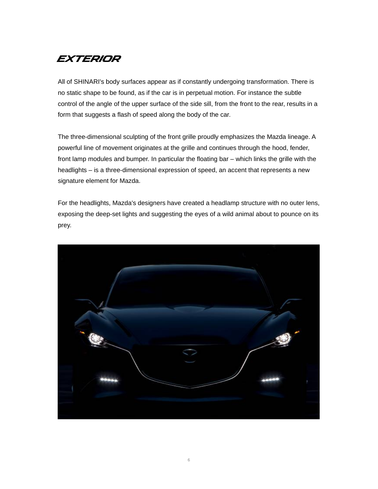## **EXTERIOR**

All of SHINARI's body surfaces appear as if constantly undergoing transformation. There is no static shape to be found, as if the car is in perpetual motion. For instance the subtle control of the angle of the upper surface of the side sill, from the front to the rear, results in a form that suggests a flash of speed along the body of the car.

The three-dimensional sculpting of the front grille proudly emphasizes the Mazda lineage. A powerful line of movement originates at the grille and continues through the hood, fender, front lamp modules and bumper. In particular the floating bar – which links the grille with the headlights – is a three-dimensional expression of speed, an accent that represents a new signature element for Mazda.

For the headlights, Mazda's designers have created a headlamp structure with no outer lens, exposing the deep-set lights and suggesting the eyes of a wild animal about to pounce on its prey.

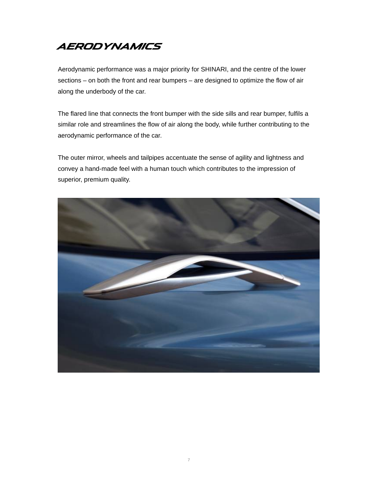### **AERODYNAMICS**

Aerodynamic performance was a major priority for SHINARI, and the centre of the lower sections – on both the front and rear bumpers – are designed to optimize the flow of air along the underbody of the car.

The flared line that connects the front bumper with the side sills and rear bumper, fulfils a similar role and streamlines the flow of air along the body, while further contributing to the aerodynamic performance of the car.

The outer mirror, wheels and tailpipes accentuate the sense of agility and lightness and convey a hand-made feel with a human touch which contributes to the impression of superior, premium quality.

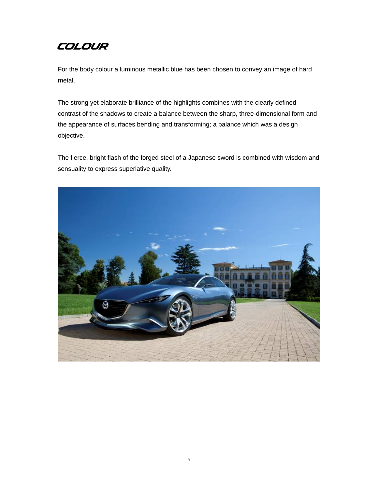### **COLOUR**

For the body colour a luminous metallic blue has been chosen to convey an image of hard metal.

The strong yet elaborate brilliance of the highlights combines with the clearly defined contrast of the shadows to create a balance between the sharp, three-dimensional form and the appearance of surfaces bending and transforming; a balance which was a design objective.

The fierce, bright flash of the forged steel of a Japanese sword is combined with wisdom and sensuality to express superlative quality.

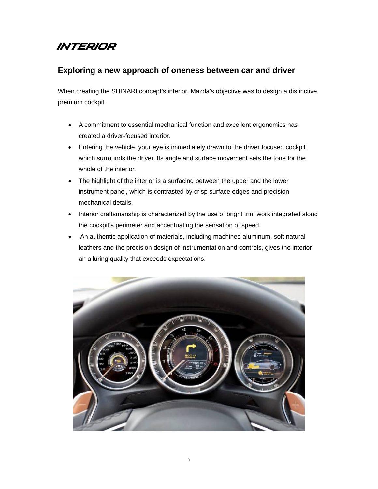# **INTERIOR**

#### **Exploring a new approach of oneness between car and driver**

When creating the SHINARI concept's interior, Mazda's objective was to design a distinctive premium cockpit.

- A commitment to essential mechanical function and excellent ergonomics has created a driver-focused interior.
- Entering the vehicle, your eye is immediately drawn to the driver focused cockpit which surrounds the driver. Its angle and surface movement sets the tone for the whole of the interior.
- The highlight of the interior is a surfacing between the upper and the lower instrument panel, which is contrasted by crisp surface edges and precision mechanical details.
- Interior craftsmanship is characterized by the use of bright trim work integrated along the cockpit's perimeter and accentuating the sensation of speed.
- An authentic application of materials, including machined aluminum, soft natural leathers and the precision design of instrumentation and controls, gives the interior an alluring quality that exceeds expectations.

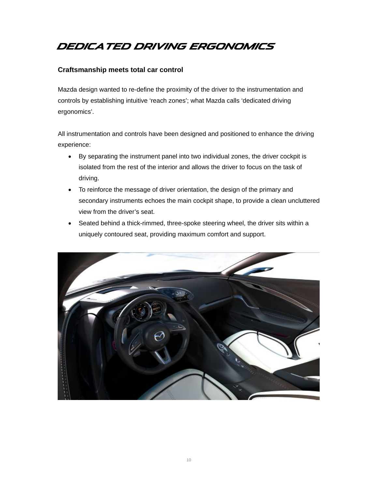# **DEDICATED DRIVING ERGONOMICS**

#### **Craftsmanship meets total car control**

Mazda design wanted to re-define the proximity of the driver to the instrumentation and controls by establishing intuitive 'reach zones'; what Mazda calls 'dedicated driving ergonomics'.

All instrumentation and controls have been designed and positioned to enhance the driving experience:

- By separating the instrument panel into two individual zones, the driver cockpit is isolated from the rest of the interior and allows the driver to focus on the task of driving.
- To reinforce the message of driver orientation, the design of the primary and secondary instruments echoes the main cockpit shape, to provide a clean uncluttered view from the driver's seat.
- Seated behind a thick-rimmed, three-spoke steering wheel, the driver sits within a uniquely contoured seat, providing maximum comfort and support.